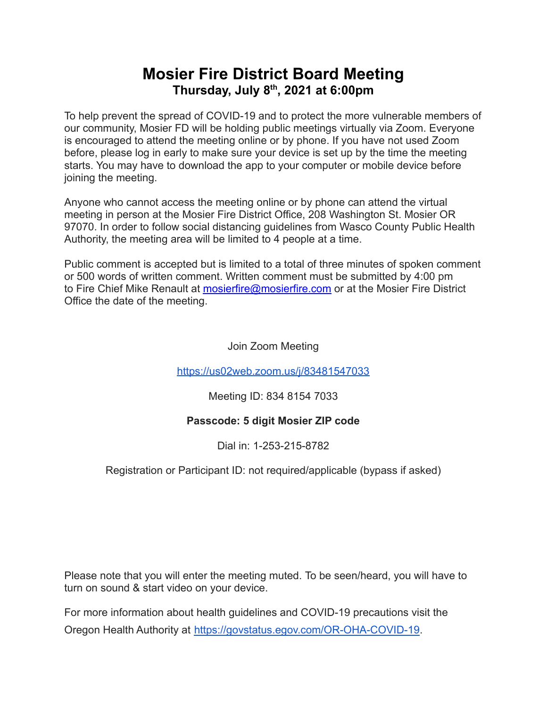# **Mosier Fire District Board Meeting Thursday, July 8 th , 2021 at 6:00pm**

To help prevent the spread of COVID-19 and to protect the more vulnerable members of our community, Mosier FD will be holding public meetings virtually via Zoom. Everyone is encouraged to attend the meeting online or by phone. If you have not used Zoom before, please log in early to make sure your device is set up by the time the meeting starts. You may have to download the app to your computer or mobile device before joining the meeting.

Anyone who cannot access the meeting online or by phone can attend the virtual meeting in person at the Mosier Fire District Office, 208 Washington St. Mosier OR 97070. In order to follow social distancing guidelines from Wasco County Public Health Authority, the meeting area will be limited to 4 people at a time.

Public comment is accepted but is limited to a total of three minutes of spoken comment or 500 words of written comment. Written comment must be submitted by 4:00 pm to Fire Chief Mike Renault at [mosierfire@mosierfire.com](mailto:mosierfire@mosierfire.com) or at the Mosier Fire District Office the date of the meeting.

Join Zoom Meeting

<https://us02web.zoom.us/j/83481547033>

Meeting ID: 834 8154 7033

### **Passcode: 5 digit Mosier ZIP code**

Dial in: 1-253-215-8782

### Registration or Participant ID: not required/applicable (bypass if asked)

Please note that you will enter the meeting muted. To be seen/heard, you will have to turn on sound & start video on your device.

For more information about health guidelines and COVID-19 precautions visit the Oregon Health Authority at [https://govstatus.egov.com/OR-OHA-COVID-19.](https://govstatus.egov.com/OR-OHA-COVID-19)